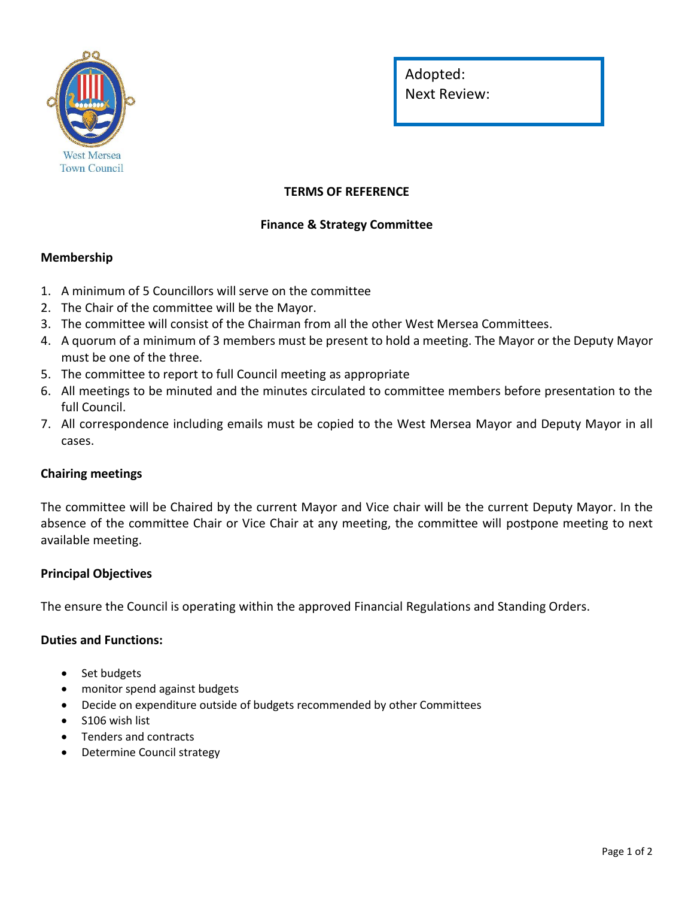

Adopted: Next Review:

# **TERMS OF REFERENCE**

## **Finance & Strategy Committee**

### **Membership**

- 1. A minimum of 5 Councillors will serve on the committee
- 2. The Chair of the committee will be the Mayor.
- 3. The committee will consist of the Chairman from all the other West Mersea Committees.
- 4. A quorum of a minimum of 3 members must be present to hold a meeting. The Mayor or the Deputy Mayor must be one of the three.
- 5. The committee to report to full Council meeting as appropriate
- 6. All meetings to be minuted and the minutes circulated to committee members before presentation to the full Council.
- 7. All correspondence including emails must be copied to the West Mersea Mayor and Deputy Mayor in all cases.

#### **Chairing meetings**

The committee will be Chaired by the current Mayor and Vice chair will be the current Deputy Mayor. In the absence of the committee Chair or Vice Chair at any meeting, the committee will postpone meeting to next available meeting.

#### **Principal Objectives**

The ensure the Council is operating within the approved Financial Regulations and Standing Orders.

#### **Duties and Functions:**

- Set budgets
- monitor spend against budgets
- Decide on expenditure outside of budgets recommended by other Committees
- S106 wish list
- Tenders and contracts
- Determine Council strategy